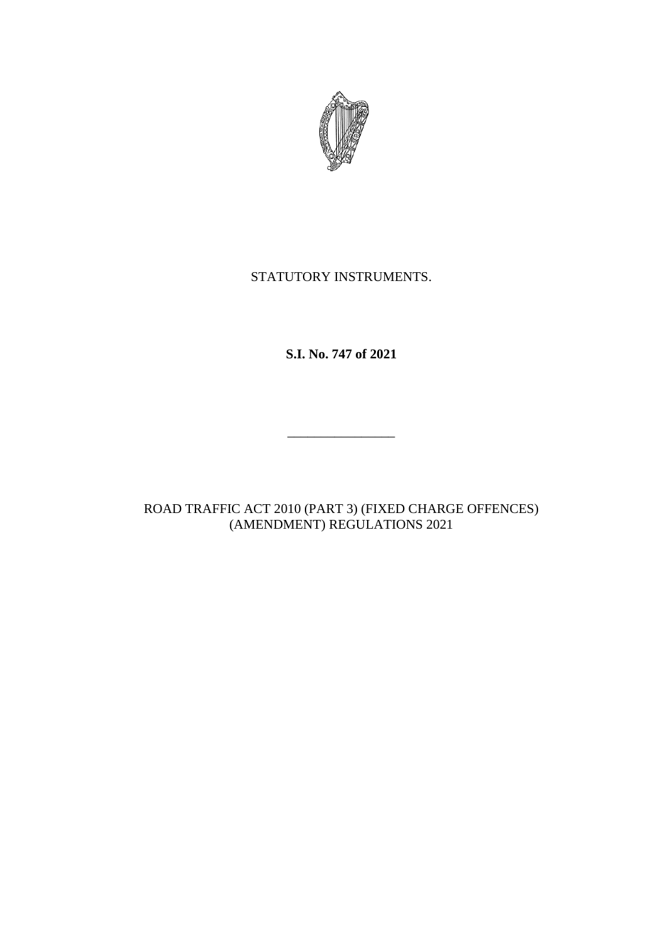

# STATUTORY INSTRUMENTS.

**S.I. No. 747 of 2021**

\_\_\_\_\_\_\_\_\_\_\_\_\_\_\_\_

ROAD TRAFFIC ACT 2010 (PART 3) (FIXED CHARGE OFFENCES) (AMENDMENT) REGULATIONS 2021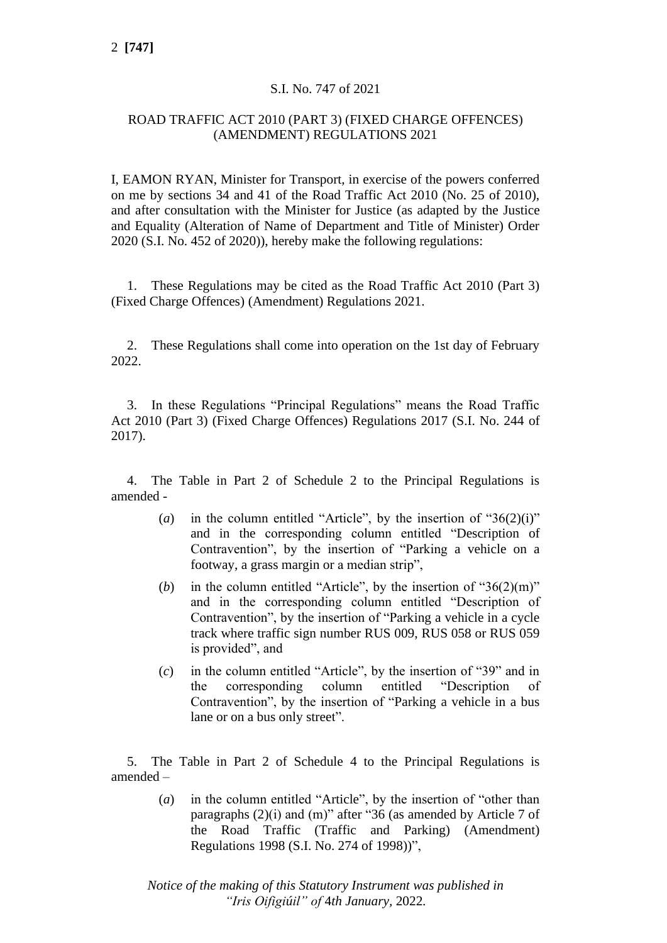### S.I. No. 747 of 2021

#### ROAD TRAFFIC ACT 2010 (PART 3) (FIXED CHARGE OFFENCES) (AMENDMENT) REGULATIONS 2021

I, EAMON RYAN, Minister for Transport, in exercise of the powers conferred on me by sections 34 and 41 of the Road Traffic Act 2010 (No. 25 of 2010), and after consultation with the Minister for Justice (as adapted by the Justice and Equality (Alteration of Name of Department and Title of Minister) Order 2020 (S.I. No. 452 of 2020)), hereby make the following regulations:

1. These Regulations may be cited as the Road Traffic Act 2010 (Part 3) (Fixed Charge Offences) (Amendment) Regulations 2021.

2. These Regulations shall come into operation on the 1st day of February 2022.

3. In these Regulations "Principal Regulations" means the Road Traffic Act 2010 (Part 3) (Fixed Charge Offences) Regulations 2017 (S.I. No. 244 of 2017).

4. The Table in Part 2 of Schedule 2 to the Principal Regulations is amended -

- (*a*) in the column entitled "Article", by the insertion of " $36(2)(i)$ " and in the corresponding column entitled "Description of Contravention", by the insertion of "Parking a vehicle on a footway, a grass margin or a median strip",
- (*b*) in the column entitled "Article", by the insertion of " $36(2)(m)$ " and in the corresponding column entitled "Description of Contravention", by the insertion of "Parking a vehicle in a cycle track where traffic sign number RUS 009, RUS 058 or RUS 059 is provided", and
- (*c*) in the column entitled "Article", by the insertion of "39" and in the corresponding column entitled "Description of Contravention", by the insertion of "Parking a vehicle in a bus lane or on a bus only street".

5. The Table in Part 2 of Schedule 4 to the Principal Regulations is amended –

> (*a*) in the column entitled "Article", by the insertion of "other than paragraphs (2)(i) and (m)" after "36 (as amended by Article 7 of the Road Traffic (Traffic and Parking) (Amendment) Regulations 1998 (S.I. No. 274 of 1998))",

*Notice of the making of this Statutory Instrument was published in "Iris Oifigiúil" of* 4*th January,* 2022*.*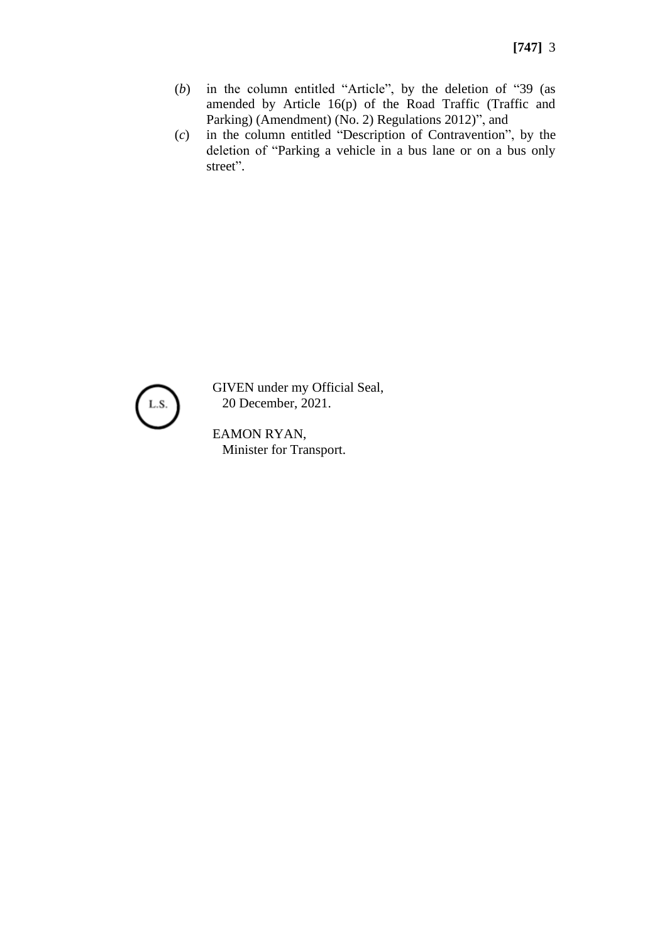- (*b*) in the column entitled "Article", by the deletion of "39 (as amended by Article 16(p) of the Road Traffic (Traffic and Parking) (Amendment) (No. 2) Regulations 2012)", and
- (*c*) in the column entitled "Description of Contravention", by the deletion of "Parking a vehicle in a bus lane or on a bus only street".



GIVEN under my Official Seal, 20 December, 2021.

EAMON RYAN, Minister for Transport.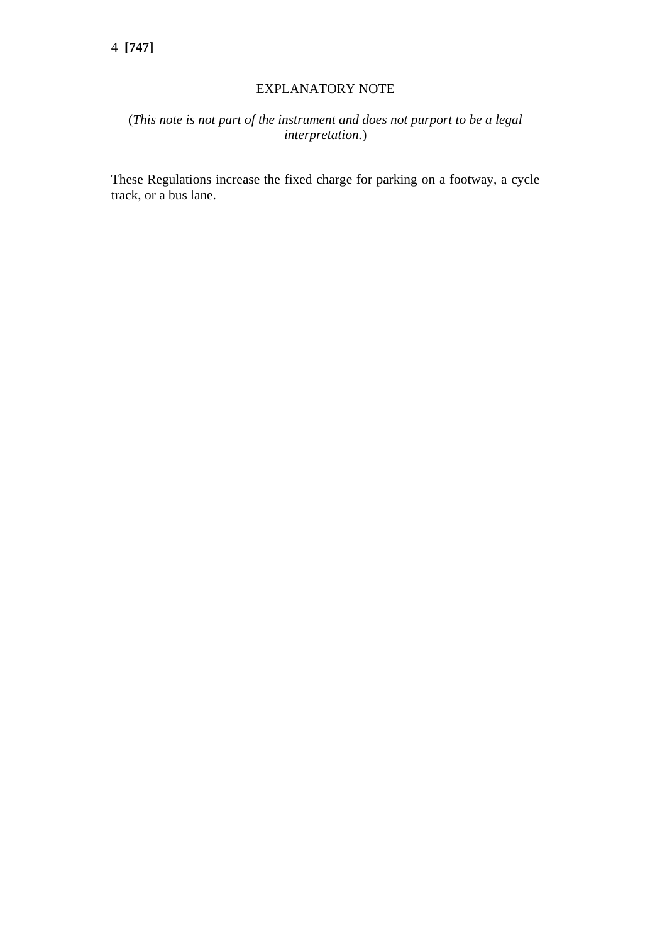#### EXPLANATORY NOTE

## (*This note is not part of the instrument and does not purport to be a legal interpretation.*)

These Regulations increase the fixed charge for parking on a footway, a cycle track, or a bus lane.